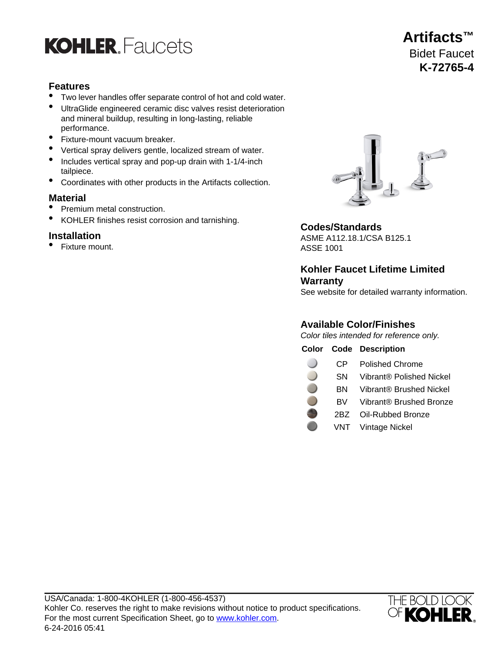

## **Features**

- Two lever handles offer separate control of hot and cold water.
- UltraGlide engineered ceramic disc valves resist deterioration and mineral buildup, resulting in long-lasting, reliable performance.
- Fixture-mount vacuum breaker.
- Vertical spray delivers gentle, localized stream of water.
- Includes vertical spray and pop-up drain with 1-1/4-inch tailpiece.
- Coordinates with other products in the Artifacts collection.

### **Material**

- Premium metal construction.
- KOHLER finishes resist corrosion and tarnishing.

• Fixture mount. ASSE 1001



### **Codes/Standards**

**Installation** ASME A112.18.1/CSA B125.1

# **Kohler Faucet Lifetime Limited Warranty**

See website for detailed warranty information.

### **Available Color/Finishes**

Color tiles intended for reference only.

| Color |           | <b>Code Description</b>  |
|-------|-----------|--------------------------|
|       |           |                          |
|       | СP        | <b>Polished Chrome</b>   |
|       | <b>SN</b> | Vibrant® Polished Nickel |
|       | BN        | Vibrant® Brushed Nickel  |
|       | BV.       | Vibrant® Brushed Bronze  |
|       | 2BZ       | Oil-Rubbed Bronze        |
|       |           | VNT Vintage Nickel       |



# **Artifacts™** Bidet Faucet **K-72765-4**